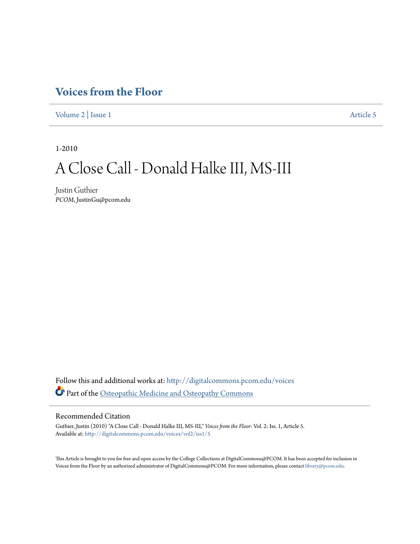## **[Voices from the Floor](http://digitalcommons.pcom.edu/voices?utm_source=digitalcommons.pcom.edu%2Fvoices%2Fvol2%2Fiss1%2F5&utm_medium=PDF&utm_campaign=PDFCoverPages)**

[Volume 2](http://digitalcommons.pcom.edu/voices/vol2?utm_source=digitalcommons.pcom.edu%2Fvoices%2Fvol2%2Fiss1%2F5&utm_medium=PDF&utm_campaign=PDFCoverPages) | [Issue 1](http://digitalcommons.pcom.edu/voices/vol2/iss1?utm_source=digitalcommons.pcom.edu%2Fvoices%2Fvol2%2Fiss1%2F5&utm_medium=PDF&utm_campaign=PDFCoverPages) [Article 5](http://digitalcommons.pcom.edu/voices/vol2/iss1/5?utm_source=digitalcommons.pcom.edu%2Fvoices%2Fvol2%2Fiss1%2F5&utm_medium=PDF&utm_campaign=PDFCoverPages)

1-2010

# A Close Call - Donald Halke III, MS-III

Justin Guthier *PCOM*, JustinGu@pcom.edu

Follow this and additional works at: [http://digitalcommons.pcom.edu/voices](http://digitalcommons.pcom.edu/voices?utm_source=digitalcommons.pcom.edu%2Fvoices%2Fvol2%2Fiss1%2F5&utm_medium=PDF&utm_campaign=PDFCoverPages) Part of the [Osteopathic Medicine and Osteopathy Commons](http://network.bepress.com/hgg/discipline/697?utm_source=digitalcommons.pcom.edu%2Fvoices%2Fvol2%2Fiss1%2F5&utm_medium=PDF&utm_campaign=PDFCoverPages)

### Recommended Citation

Guthier, Justin (2010) "A Close Call - Donald Halke III, MS-III," *Voices from the Floor*: Vol. 2: Iss. 1, Article 5. Available at: [http://digitalcommons.pcom.edu/voices/vol2/iss1/5](http://digitalcommons.pcom.edu/voices/vol2/iss1/5?utm_source=digitalcommons.pcom.edu%2Fvoices%2Fvol2%2Fiss1%2F5&utm_medium=PDF&utm_campaign=PDFCoverPages)

This Article is brought to you for free and open access by the College Collections at DigitalCommons@PCOM. It has been accepted for inclusion in Voices from the Floor by an authorized administrator of DigitalCommons@PCOM. For more information, please contact [library@pcom.edu](mailto:library@pcom.edu).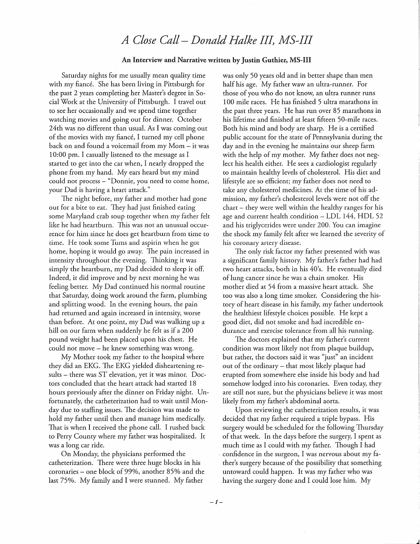## *A Close Call- Donald Halke IlL MS-III*

#### An Interview and Narrative written by Justin Guthier, MS-III

Saturday nights for me usually mean quality time with my fiancé. She has been living in Pittsburgh for the past 2 years completing her Master's degree in Social Work at the University of Pittsburgh. I travel out to see her occasionally and we spend time together watching movies and going out for dinner. October 24th was no different than usual. As I was coming out of the movies with my fiance, I turned my cell phone back on and found a voicemail from my Mom - it was 10:00 pm. I casually listened to the message as I started to get into the car when, I nearly dropped the phone from my hand. My ears heard but my mind could not process - "Donnie, you need to come home, your Dad is having a heart attack."

The night before, my father and mother had gone out for a bite to eat. They had just finished eating some Maryland crab soup together when my father felt like he had heartburn. This was not an unusual occurrence for him since he does get heartburn from time to time. He took some Tums and aspirin when he got home, hoping it would go away. The pain increased in intensity throughout the evening. Thinking it was simply the heartburn, my Dad decided to sleep it off. Indeed, it did improve and by next morning he was feeling better. My Dad continued his normal routine that Saturday, doing work around the farm, plumbing and splitting wood. In the evening hours, the pain had returned and again increased in intensity, worse than before. At one point, my Dad was walking up a hill on our farm when suddenly he felt as if a 200 pound weight had been placed upon his chest. He could not move - he knew something was wrong.

My Mother took my father to the hospital where they did an EKG. The EKG yielded disheartening results - there was ST elevation, yet it was minor. Doctors concluded that the heart attack had started 18 hours previously after the dinner on Friday night. Unfortunately, the catheterization had to wait until Monday due to staffing issues. The decision was made to hold my father until then and manage him medically. That is when I received the phone call. I rushed back to Perry County where my father was hospitalized. It was a long car ride.

On Monday, the physicians performed the catheterization. There were three huge blocks in his coronaries – one block of 99%, another 85% and the last 75%. My family and I were stunned. My father

was only 50 years old and in better shape than men half his age. My father waw an ultra-runner. For those of you who do not know, an ultra runner runs 100 mile races. He has finished 5 ultra marathons in the past three years. He has run over 85 marathons in his lifetime and finished at least fifteen 50-mile races. Both his mind and body are sharp. He is a certified public account for the state of Pennsylvania during the day and in the evening he maintains our sheep farm with the help of my mother. My father does not neglect his health either. He sees a cardiologist regularly to maintain healthy levels of cholesterol. His diet and lifestyle are so efficient; my father does not need to take any cholesterol medicines. At the time of his admission, my father's cholesterol levels were not off the  $chart - they were well within the healthy ranges for his$ age and current health condition- LDL 144, HDL 52 and his triglycerides were under 200. You can imagine the shock my family felt after we learned the severity of his coronary artery disease.

The only risk factor my father presented with was a significant family history. My father's father had had two heart attacks, both in his 40's. He eventually died of lung cancer since he was a chain smoker. His mother died at 54 from a massive heart attack. She too was also a long time smoker. Considering the history of heart disease in his family, my father undertook the healthiest lifestyle choices possible. He kept a good diet, did not smoke and had incredible endurance and exercise tolerance from all his running.

The doctors explained that my father's current condition was most likely not from plaque buildup, but rather, the doctors said it was ''just" an incident out of the ordinary- that most likely plaque had erupted from somewhere else inside his body and had somehow lodged into his coronaries. Even today, they are still not sure, but the physicians believe it was most likely from my father's abdominal aorta.

Upon reviewing the catheterization results, it was decided that my father required a triple bypass. His surgery would be scheduled for the following Thursday of that week. In the days before the surgery, I spent as much time as I could with my father. Though I had confidence in the surgeon, I was nervous about my father's surgery because of the possibility that something untoward could happen. It was my father who was having the surgery done and I could lose him. My